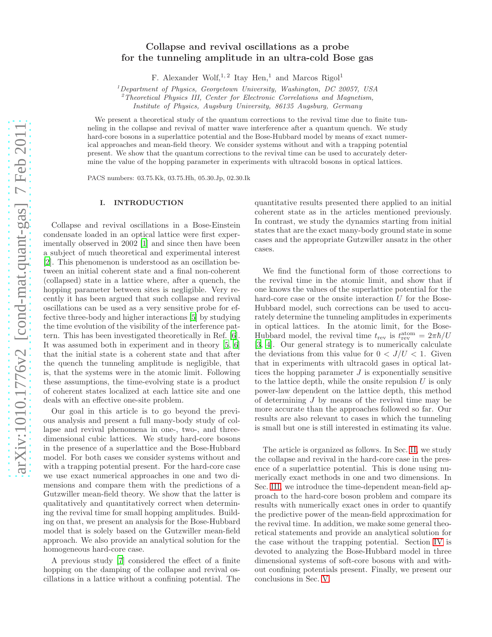# Collapse and revival oscillations as a probe for the tunneling amplitude in an ultra-cold Bose gas

F. Alexander Wolf,<sup>1,2</sup> Itay Hen,<sup>1</sup> and Marcos Rigol<sup>1</sup>

 $1$ Department of Physics, Georgetown University, Washington, DC 20057, USA

<sup>2</sup>Theoretical Physics III, Center for Electronic Correlations and Magnetism,

Institute of Physics, Augsburg University, 86135 Augsburg, Germany

We present a theoretical study of the quantum corrections to the revival time due to finite tunneling in the collapse and revival of matter wave interference after a quantum quench. We study hard-core bosons in a superlattice potential and the Bose-Hubbard model by means of exact numerical approaches and mean-field theory. We consider systems without and with a trapping potential present. We show that the quantum corrections to the revival time can be used to accurately determine the value of the hopping parameter in experiments with ultracold bosons in optical lattices.

PACS numbers: 03.75.Kk, 03.75.Hh, 05.30.Jp, 02.30.Ik

# I. INTRODUCTION

Collapse and revival oscillations in a Bose-Einstein condensate loaded in an optical lattice were first experimentally observed in 2002 [\[1](#page-9-0)] and since then have been a subject of much theoretical and experimental interest [\[2\]](#page-9-1). This phenomenon is understood as an oscillation between an initial coherent state and a final non-coherent (collapsed) state in a lattice where, after a quench, the hopping parameter between sites is negligible. Very recently it has been argued that such collapse and revival oscillations can be used as a very sensitive probe for effective three-body and higher interactions [\[5](#page-9-2)] by studying the time evolution of the visibility of the interference pattern. This has been investigated theoretically in Ref. [\[6\]](#page-9-3). It was assumed both in experiment and in theory [\[5,](#page-9-2) [6](#page-9-3)] that the initial state is a coherent state and that after the quench the tunneling amplitude is negligible, that is, that the systems were in the atomic limit. Following these assumptions, the time-evolving state is a product of coherent states localized at each lattice site and one deals with an effective one-site problem.

Our goal in this article is to go beyond the previous analysis and present a full many-body study of collapse and revival phenomena in one-, two-, and threedimensional cubic lattices. We study hard-core bosons in the presence of a superlattice and the Bose-Hubbard model. For both cases we consider systems without and with a trapping potential present. For the hard-core case we use exact numerical approaches in one and two dimensions and compare them with the predictions of a Gutzwiller mean-field theory. We show that the latter is qualitatively and quantitatively correct when determining the revival time for small hopping amplitudes. Building on that, we present an analysis for the Bose-Hubbard model that is solely based on the Gutzwiller mean-field approach. We also provide an analytical solution for the homogeneous hard-core case.

A previous study [\[7\]](#page-9-4) considered the effect of a finite hopping on the damping of the collapse and revival oscillations in a lattice without a confining potential. The

quantitative results presented there applied to an initial coherent state as in the articles mentioned previously. In contrast, we study the dynamics starting from initial states that are the exact many-body ground state in some cases and the appropriate Gutzwiller ansatz in the other cases.

We find the functional form of those corrections to the revival time in the atomic limit, and show that if one knows the values of the superlattice potential for the hard-core case or the onsite interaction  $U$  for the Bose-Hubbard model, such corrections can be used to accurately determine the tunneling amplitudes in experiments in optical lattices. In the atomic limit, for the Bose-Hubbard model, the revival time  $t_{\text{rev}}$  is  $t_{\text{rev}}^{\text{atom}} = 2\pi\hbar/U$ [\[3,](#page-9-5) [4\]](#page-9-6). Our general strategy is to numerically calculate the deviations from this value for  $0 < J/U < 1$ . Given that in experiments with ultracold gases in optical lattices the hopping parameter  $J$  is exponentially sensitive to the lattice depth, while the onsite repulsion  $U$  is only power-law dependent on the lattice depth, this method of determining J by means of the revival time may be more accurate than the approaches followed so far. Our results are also relevant to cases in which the tunneling is small but one is still interested in estimating its value.

The article is organized as follows. In Sec. [II,](#page-1-0) we study the collapse and revival in the hard-core case in the presence of a superlattice potential. This is done using numerically exact methods in one and two dimensions. In Sec. [III,](#page-4-0) we introduce the time-dependent mean-field approach to the hard-core boson problem and compare its results with numerically exact ones in order to quantify the predictive power of the mean-field approximation for the revival time. In addition, we make some general theoretical statements and provide an analytical solution for the case without the trapping potential. Section [IV](#page-7-0) is devoted to analyzing the Bose-Hubbard model in three dimensional systems of soft-core bosons with and without confining potentials present. Finally, we present our conclusions in Sec. [V.](#page-9-7)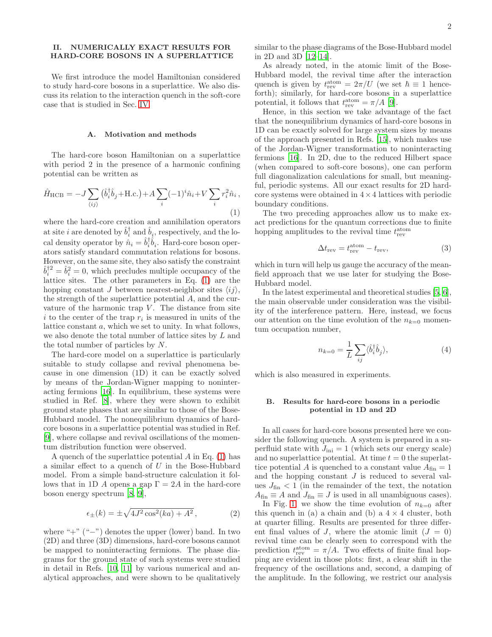# <span id="page-1-0"></span>II. NUMERICALLY EXACT RESULTS FOR HARD-CORE BOSONS IN A SUPERLATTICE

We first introduce the model Hamiltonian considered to study hard-core bosons in a superlattice. We also discuss its relation to the interaction quench in the soft-core case that is studied in Sec. [IV.](#page-7-0)

## A. Motivation and methods

The hard-core boson Hamiltonian on a superlattice with period 2 in the presence of a harmonic confining potential can be written as

<span id="page-1-1"></span>
$$
\hat{H}_{\text{HCB}} = -J \sum_{\langle ij \rangle} (\hat{b}_i^{\dagger} \hat{b}_j + \text{H.c.}) + A \sum_i (-1)^i \hat{n}_i + V \sum_i r_i^2 \hat{n}_i ,
$$
\n(1)

where the hard-core creation and annihilation operators at site *i* are denoted by  $\hat{b}_i^{\dagger}$  and  $\hat{b}_i$ , respectively, and the local density operator by  $\hat{n}_i = \hat{b}_i^{\dagger} \hat{b}_i$ . Hard-core boson operators satisfy standard commutation relations for bosons. However, on the same site, they also satisfy the constraint  $\hat{b}_i^{\dagger 2} = \hat{b}_i^2 = 0$ , which precludes multiple occupancy of the lattice sites. The other parameters in Eq. [\(1\)](#page-1-1) are the hopping constant J between nearest-neighbor sites  $\langle ij \rangle$ , the strength of the superlattice potential A, and the curvature of the harmonic trap  $V$ . The distance from site i to the center of the trap  $r_i$  is measured in units of the lattice constant a, which we set to unity. In what follows, we also denote the total number of lattice sites by L and the total number of particles by N.

The hard-core model on a superlattice is particularly suitable to study collapse and revival phenomena because in one dimension (1D) it can be exactly solved by means of the Jordan-Wigner mapping to noninteracting fermions [\[16](#page-9-8)]. In equilibrium, these systems were studied in Ref. [\[8\]](#page-9-9), where they were shown to exhibit ground state phases that are similar to those of the Bose-Hubbard model. The nonequilibrium dynamics of hardcore bosons in a superlattice potential was studied in Ref. [\[9\]](#page-9-10), where collapse and revival oscillations of the momentum distribution function were observed.

A quench of the superlattice potential  $A$  in Eq. [\(1\)](#page-1-1) has a similar effect to a quench of U in the Bose-Hubbard model. From a simple band-structure calculation it follows that in 1D A opens a gap  $\Gamma = 2A$  in the hard-core boson energy spectrum [\[8,](#page-9-9) [9\]](#page-9-10),

$$
\epsilon_{\pm}(k) = \pm \sqrt{4J^2 \cos^2(ka) + A^2},\tag{2}
$$

where " $+$ " ("−") denotes the upper (lower) band. In two (2D) and three (3D) dimensions, hard-core bosons cannot be mapped to noninteracting fermions. The phase diagrams for the ground state of such systems were studied in detail in Refs. [\[10,](#page-9-11) [11](#page-9-12)] by various numerical and analytical approaches, and were shown to be qualitatively

similar to the phase diagrams of the Bose-Hubbard model in 2D and 3D [\[12](#page-9-13)[–14\]](#page-9-14).

As already noted, in the atomic limit of the Bose-Hubbard model, the revival time after the interaction quench is given by  $t_{\text{rev}}^{\text{atom}} = 2\pi/U$  (we set  $\hbar \equiv 1$  henceforth); similarly, for hard-core bosons in a superlattice potential, it follows that  $t_{\text{rev}}^{\text{atom}} = \pi/A$  [\[9](#page-9-10)].

Hence, in this section we take advantage of the fact that the nonequilibrium dynamics of hard-core bosons in 1D can be exactly solved for large system sizes by means of the approach presented in Refs. [\[15](#page-9-15)], which makes use of the Jordan-Wigner transformation to noninteracting fermions [\[16\]](#page-9-8). In 2D, due to the reduced Hilbert space (when compared to soft-core bosons), one can perform full diagonalization calculations for small, but meaningful, periodic systems. All our exact results for 2D hardcore systems were obtained in  $4 \times 4$  lattices with periodic boundary conditions.

The two preceding approaches allow us to make exact predictions for the quantum corrections due to finite hopping amplitudes to the revival time  $t_{\rm rev}^{\rm atom}$ 

$$
\Delta t_{\rm rev} = t_{\rm rev}^{\rm atom} - t_{\rm rev},\tag{3}
$$

which in turn will help us gauge the accuracy of the meanfield approach that we use later for studying the Bose-Hubbard model.

In the latest experimental and theoretical studies [\[5](#page-9-2), [6\]](#page-9-3), the main observable under consideration was the visibility of the interference pattern. Here, instead, we focus our attention on the time evolution of the  $n_{k=0}$  momentum occupation number,

$$
n_{k=0} = \frac{1}{L} \sum_{ij} \langle \hat{b}_i^{\dagger} \hat{b}_j \rangle, \tag{4}
$$

which is also measured in experiments.

# <span id="page-1-2"></span>B. Results for hard-core bosons in a periodic potential in 1D and 2D

In all cases for hard-core bosons presented here we consider the following quench. A system is prepared in a superfluid state with  $J_{\text{ini}} = 1$  (which sets our energy scale) and no superlattice potential. At time  $t = 0$  the superlattice potential A is quenched to a constant value  $A_{fin} = 1$ and the hopping constant  $J$  is reduced to several values  $J_{\text{fin}} < 1$  (in the remainder of the text, the notation  $A_{fin} \equiv A$  and  $J_{fin} \equiv J$  is used in all unambiguous cases).

In Fig. [1,](#page-2-0) we show the time evolution of  $n_{k=0}$  after this quench in (a) a chain and (b) a  $4 \times 4$  cluster, both at quarter filling. Results are presented for three different final values of J, where the atomic limit  $(J = 0)$ revival time can be clearly seen to correspond with the prediction  $t_{\text{rev}}^{\text{atom}} = \pi/A$ . Two effects of finite final hopping are evident in those plots: first, a clear shift in the frequency of the oscillations and, second, a damping of the amplitude. In the following, we restrict our analysis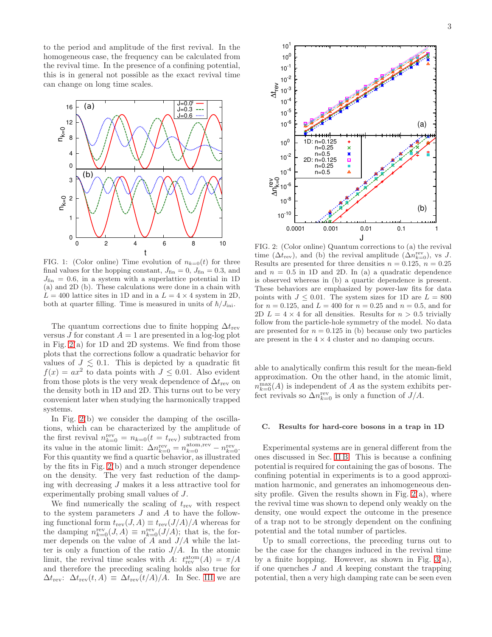to the period and amplitude of the first revival. In the homogeneous case, the frequency can be calculated from the revival time. In the presence of a confining potential, this is in general not possible as the exact revival time can change on long time scales.



<span id="page-2-0"></span>FIG. 1: (Color online) Time evolution of  $n_{k=0}(t)$  for three final values for the hopping constant,  $J_{fin} = 0$ ,  $J_{fin} = 0.3$ , and  $J_{\text{fin}} = 0.6$ , in a system with a superlattice potential in 1D (a) and 2D (b). These calculations were done in a chain with  $L = 400$  lattice sites in 1D and in a  $L = 4 \times 4$  system in 2D, both at quarter filling. Time is measured in units of  $\hbar/J_{\text{ini}}$ .

The quantum corrections due to finite hopping  $\Delta t_{\rm rev}$ versus J for constant  $A = 1$  are presented in a log-log plot in Fig.  $2(a)$  for 1D and 2D systems. We find from those plots that the corrections follow a quadratic behavior for values of  $J \leq 0.1$ . This is depicted by a quadratic fit  $f(x) = ax^2$  to data points with  $J \leq 0.01$ . Also evident from those plots is the very weak dependence of  $\Delta t_{\rm rev}$  on the density both in 1D and 2D. This turns out to be very convenient later when studying the harmonically trapped systems.

In Fig. [2\(](#page-2-1)b) we consider the damping of the oscillations, which can be characterized by the amplitude of the first revival  $n_{k=0}^{\text{rev}} = n_{k=0}(t = t_{\text{rev}})$  subtracted from its value in the atomic limit:  $\Delta n_{k=0}^{\text{rev}} = n_{k=0}^{\text{atom,rev}} - n_{k=0}^{\text{rev}}$ . For this quantity we find a quartic behavior, as illustrated by the fits in Fig. [2\(](#page-2-1)b) and a much stronger dependence on the density. The very fast reduction of the damping with decreasing  $J$  makes it a less attractive tool for experimentally probing small values of J.

We find numerically the scaling of  $t_{\text{rev}}$  with respect to the system parameters  $J$  and  $A$  to have the following functional form  $t_{rev}(J, A) \equiv t_{rev}(J/A)/A$  whereas for the damping  $n_{k=0}^{\text{rev}}(J, A) \equiv n_{k=0}^{\text{rev}}(J/A)$ ; that is, the former depends on the value of A and  $J/A$  while the latter is only a function of the ratio  $J/A$ . In the atomic limit, the revival time scales with A:  $t_{\text{rev}}^{\text{atom}}(A) = \pi/A$ and therefore the preceding scaling holds also true for  $\Delta t_{\rm rev}$ :  $\Delta t_{\rm rev}(t, A) \equiv \Delta t_{\rm rev}(t/A)/A$ . In Sec. [III](#page-4-0) we are



<span id="page-2-1"></span>FIG. 2: (Color online) Quantum corrections to (a) the revival time  $(\Delta t_{\text{rev}})$ , and (b) the revival amplitude  $(\Delta n_{k=0}^{\text{rev}})$ , vs J. Results are presented for three densities  $n = 0.125$ ,  $n = 0.25$ and  $n = 0.5$  in 1D and 2D. In (a) a quadratic dependence is observed whereas in (b) a quartic dependence is present. These behaviors are emphasized by power-law fits for data points with  $J \leq 0.01$ . The system sizes for 1D are  $L = 800$ for  $n = 0.125$ , and  $L = 400$  for  $n = 0.25$  and  $n = 0.5$ , and for 2D  $L = 4 \times 4$  for all densities. Results for  $n > 0.5$  trivially follow from the particle-hole symmetry of the model. No data are presented for  $n = 0.125$  in (b) because only two particles are present in the  $4 \times 4$  cluster and no damping occurs.

able to analytically confirm this result for the mean-field approximation. On the other hand, in the atomic limit,  $n_{k=0}^{\max}(A)$  is independent of A as the system exhibits perfect revivals so  $\Delta n_{k=0}^{\text{rev}}$  is only a function of  $J/A$ .

#### <span id="page-2-2"></span>C. Results for hard-core bosons in a trap in 1D

Experimental systems are in general different from the ones discussed in Sec. [II B.](#page-1-2) This is because a confining potential is required for containing the gas of bosons. The confining potential in experiments is to a good approximation harmonic, and generates an inhomogeneous density profile. Given the results shown in Fig.  $2(a)$ , where the revival time was shown to depend only weakly on the density, one would expect the outcome in the presence of a trap not to be strongly dependent on the confining potential and the total number of particles.

Up to small corrections, the preceding turns out to be the case for the changes induced in the revival time by a finite hopping. However, as shown in Fig.  $3(a)$ , if one quenches  $J$  and  $A$  keeping constant the trapping potential, then a very high damping rate can be seen even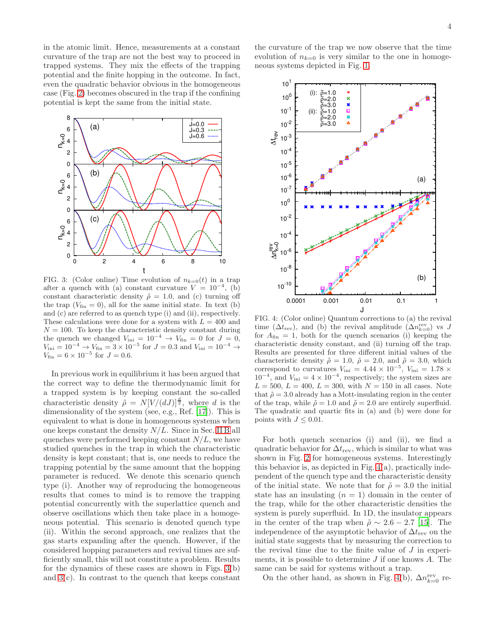in the atomic limit. Hence, measurements at a constant curvature of the trap are not the best way to proceed in trapped systems. They mix the effects of the trapping potential and the finite hopping in the outcome. In fact, even the quadratic behavior obvious in the homogeneous case (Fig. [2\)](#page-2-1) becomes obscured in the trap if the confining potential is kept the same from the initial state.



<span id="page-3-0"></span>FIG. 3: (Color online) Time evolution of  $n_{k=0}(t)$  in a trap after a quench with (a) constant curvature  $V = 10^{-4}$ , (b) constant characteristic density  $\tilde{\rho} = 1.0$ , and (c) turning off the trap  $(V_{fin} = 0)$ , all for the same initial state. In text (b) and (c) are referred to as quench type (i) and (ii), respectively. These calculations were done for a system with  $L = 400$  and  $N = 100$ . To keep the characteristic density constant during the quench we changed  $V_{\text{ini}} = 10^{-4} \rightarrow V_{\text{fin}} = 0$  for  $J = 0$ ,  $V_{\text{ini}} = 10^{-4} \rightarrow V_{\text{fin}} = 3 \times 10^{-5}$  for  $J = 0.3$  and  $V_{\text{ini}} = 10^{-4} \rightarrow$  $V_{\text{fin}} = 6 \times 10^{-5}$  for  $J = 0.6$ .

In previous work in equilibrium it has been argued that the correct way to define the thermodynamic limit for a trapped system is by keeping constant the so-called characteristic density  $\tilde{\rho} = N[V/(dJ)]^{\frac{d}{2}}$ , where d is the dimensionality of the system (see, e.g., Ref. [\[17\]](#page-9-16)). This is equivalent to what is done in homogeneous systems when one keeps constant the density  $N/L$ . Since in Sec. [II B](#page-1-2) all quenches were performed keeping constant  $N/L$ , we have studied quenches in the trap in which the characteristic density is kept constant; that is, one needs to reduce the trapping potential by the same amount that the hopping parameter is reduced. We denote this scenario quench type (i). Another way of reproducing the homogeneous results that comes to mind is to remove the trapping potential concurrently with the superlattice quench and observe oscillations which then take place in a homogeneous potential. This scenario is denoted quench type (ii). Within the second approach, one realizes that the gas starts expanding after the quench. However, if the considered hopping parameters and revival times are sufficiently small, this will not constitute a problem. Results for the dynamics of these cases are shown in Figs. [3\(](#page-3-0)b) and  $3(c)$ . In contrast to the quench that keeps constant

the curvature of the trap we now observe that the time evolution of  $n_{k=0}$  is very similar to the one in homogeneous systems depicted in Fig. [1.](#page-2-0)



<span id="page-3-1"></span>FIG. 4: (Color online) Quantum corrections to (a) the revival time  $(\Delta t_{\text{rev}})$ , and (b) the revival amplitude  $(\Delta n_{k=0}^{\text{rev}})$  vs J for  $A_{fin} = 1$ , both for the quench scenarios (i) keeping the characteristic density constant, and (ii) turning off the trap. Results are presented for three different initial values of the characteristic density  $\tilde{\rho} = 1.0$ ,  $\tilde{\rho} = 2.0$ , and  $\tilde{\rho} = 3.0$ , which correspond to curvatures  $V_{\text{ini}} = 4.44 \times 10^{-5}$ ,  $V_{\text{ini}} = 1.78 \times$  $10^{-4}$ , and  $V_{\text{ini}} = 4 \times 10^{-4}$ , respectively; the system sizes are  $L = 500, L = 400, L = 300$ , with  $N = 150$  in all cases. Note that  $\tilde{\rho} = 3.0$  already has a Mott-insulating region in the center of the trap, while  $\tilde{\rho} = 1.0$  and  $\tilde{\rho} = 2.0$  are entirely superfluid. The quadratic and quartic fits in (a) and (b) were done for points with  $J \leq 0.01$ .

For both quench scenarios (i) and (ii), we find a quadratic behavior for  $\Delta t_{\rm rev}$ , which is similar to what was shown in Fig. [2](#page-2-1) for homogeneous systems. Interestingly this behavior is, as depicted in Fig. [4\(](#page-3-1)a), practically independent of the quench type and the characteristic density of the initial state. We note that for  $\tilde{\rho} = 3.0$  the initial state has an insulating  $(n = 1)$  domain in the center of the trap, while for the other characteristic densities the system is purely superfluid. In 1D, the insulator appears in the center of the trap when  $\tilde{\rho} \sim 2.6 - 2.7$  [\[15\]](#page-9-15). The independence of the asymptotic behavior of  $\Delta t_{\rm rev}$  on the initial state suggests that by measuring the correction to the revival time due to the finite value of  $J$  in experiments, it is possible to determine  $J$  if one knows  $A$ . The same can be said for systems without a trap.

On the other hand, as shown in Fig. [4\(](#page-3-1)b),  $\Delta n_{k=0}^{\text{rev}}$  re-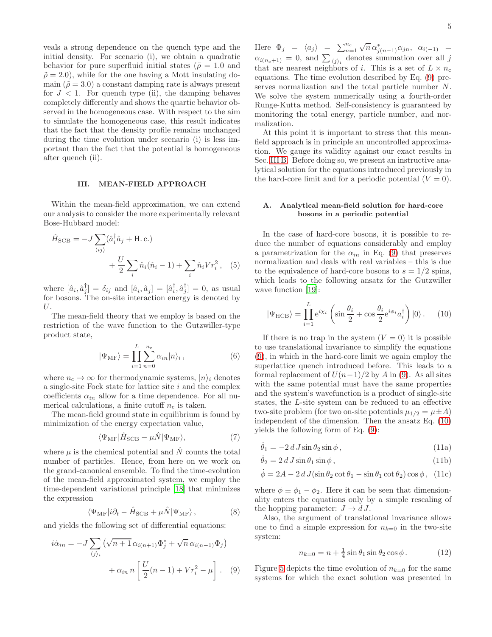veals a strong dependence on the quench type and the initial density. For scenario (i), we obtain a quadratic behavior for pure superfluid initial states ( $\tilde{\rho} = 1.0$  and  $\tilde{\rho} = 2.0$ , while for the one having a Mott insulating domain  $(\tilde{\rho} = 3.0)$  a constant damping rate is always present for  $J < 1$ . For quench type (ii), the damping behaves completely differently and shows the quartic behavior observed in the homogeneous case. With respect to the aim to simulate the homogeneous case, this result indicates that the fact that the density profile remains unchanged during the time evolution under scenario (i) is less important than the fact that the potential is homogeneous after quench (ii).

## <span id="page-4-0"></span>III. MEAN-FIELD APPROACH

Within the mean-field approximation, we can extend our analysis to consider the more experimentally relevant Bose-Hubbard model:

$$
\hat{H}_{\text{SCB}} = -J \sum_{\langle ij \rangle} (\hat{a}_i^\dagger \hat{a}_j + \text{H.c.}) + \frac{U}{2} \sum_i \hat{n}_i (\hat{n}_i - 1) + \sum_i \hat{n}_i V r_i^2, \quad (5)
$$

where  $[\hat{a}_i, \hat{a}_j^{\dagger}] = \delta_{ij}$  and  $[\hat{a}_i, \hat{a}_j] = [\hat{a}_i^{\dagger}, \hat{a}_j^{\dagger}] = 0$ , as usual for bosons. The on-site interaction energy is denoted by U.

The mean-field theory that we employ is based on the restriction of the wave function to the Gutzwiller-type product state,

$$
|\Psi_{\rm MF}\rangle = \prod_{i=1}^{L} \sum_{n=0}^{n_c} \alpha_{in} |n\rangle_i , \qquad (6)
$$

where  $n_c \to \infty$  for thermodynamic systems,  $|n\rangle_i$  denotes a single-site Fock state for lattice site  $i$  and the complex coefficients  $\alpha_{in}$  allow for a time dependence. For all numerical calculations, a finite cutoff  $n_c$  is taken.

The mean-field ground state in equilibrium is found by minimization of the energy expectation value,

$$
\langle\Psi_{\rm MF}|\hat{H}_{\rm SCB} - \mu\hat{N}|\Psi_{\rm MF}\rangle,\tag{7}
$$

where  $\mu$  is the chemical potential and  $\hat{N}$  counts the total number of particles. Hence, from here on we work on the grand-canonical ensemble. To find the time-evolution of the mean-field approximated system, we employ the time-dependent variational principle [\[18](#page-9-17)] that minimizes the expression

$$
\langle\Psi_{\rm MF}|i\partial_t - \hat{H}_{\rm SCB} + \mu \hat{N}|\Psi_{\rm MF}\rangle, \qquad (8)
$$

and yields the following set of differential equations:

$$
i\dot{\alpha}_{in} = -J \sum_{\langle j \rangle_i} \left( \sqrt{n+1} \alpha_{i(n+1)} \Phi_j^* + \sqrt{n} \alpha_{i(n-1)} \Phi_j \right) + \alpha_{in} n \left[ \frac{U}{2} (n-1) + V r_i^2 - \mu \right]. \tag{9}
$$

Here  $\Phi_j = \langle a_j \rangle = \sum_{n=1}^{n_c} \sqrt{n} \alpha_{j(n-1)}^* \alpha_{jn}, \alpha_{i(-1)} =$  $\alpha_{i(n_c+1)} = 0$ , and  $\sum_{\langle j \rangle_i}$  denotes summation over all j that are nearest neighbors of i. This is a set of  $L \times n_c$ equations. The time evolution described by Eq. [\(9\)](#page-4-1) preserves normalization and the total particle number N. We solve the system numerically using a fourth-order Runge-Kutta method. Self-consistency is guaranteed by monitoring the total energy, particle number, and normalization.

At this point it is important to stress that this meanfield approach is in principle an uncontrolled approximation. We gauge its validity against our exact results in Sec. [III B.](#page-5-0) Before doing so, we present an instructive analytical solution for the equations introduced previously in the hard-core limit and for a periodic potential  $(V = 0)$ .

## A. Analytical mean-field solution for hard-core bosons in a periodic potential

<span id="page-4-5"></span>In the case of hard-core bosons, it is possible to reduce the number of equations considerably and employ a parametrization for the  $\alpha_{in}$  in Eq. [\(9\)](#page-4-1) that preserves normalization and deals with real variables – this is due to the equivalence of hard-core bosons to  $s = 1/2$  spins, which leads to the following ansatz for the Gutzwiller wave function [\[19](#page-9-18)]:

<span id="page-4-2"></span>
$$
|\Psi_{\text{HCB}}\rangle = \prod_{i=1}^{L} e^{i\chi_i} \left( \sin \frac{\theta_i}{2} + \cos \frac{\theta_i}{2} e^{i\phi_i} a_i^{\dagger} \right) |0\rangle. \quad (10)
$$

If there is no trap in the system  $(V = 0)$  it is possible to use translational invariance to simplify the equations [\(9\)](#page-4-1), in which in the hard-core limit we again employ the superlattice quench introduced before. This leads to a formal replacement of  $U(n-1)/2$  by A in [\(9\)](#page-4-1). As all sites with the same potential must have the same properties and the system's wavefunction is a product of single-site states, the L-site system can be reduced to an effective two-site problem (for two on-site potentials  $\mu_{1/2} = \mu \pm A$ ) independent of the dimension. Then the ansatz Eq. [\(10\)](#page-4-2) yields the following form of Eq. [\(9\)](#page-4-1):

<span id="page-4-3"></span>
$$
\dot{\theta}_1 = -2 d J \sin \theta_2 \sin \phi \,,\tag{11a}
$$

$$
\dot{\theta}_2 = 2 d J \sin \theta_1 \sin \phi, \qquad (11b)
$$

$$
\dot{\phi} = 2A - 2 d J(\sin \theta_2 \cot \theta_1 - \sin \theta_1 \cot \theta_2) \cos \phi, (11c)
$$

where  $\phi \equiv \phi_1 - \phi_2$ . Here it can be seen that dimensionality enters the equations only by a simple rescaling of the hopping parameter:  $J \to d J$ .

Also, the argument of translational invariance allows one to find a simple expression for  $n_{k=0}$  in the two-site system:

<span id="page-4-4"></span>
$$
n_{k=0} = n + \frac{1}{4}\sin\theta_1\sin\theta_2\cos\phi.
$$
 (12)

<span id="page-4-1"></span>Figure [5](#page-5-1) depicts the time evolution of  $n_{k=0}$  for the same systems for which the exact solution was presented in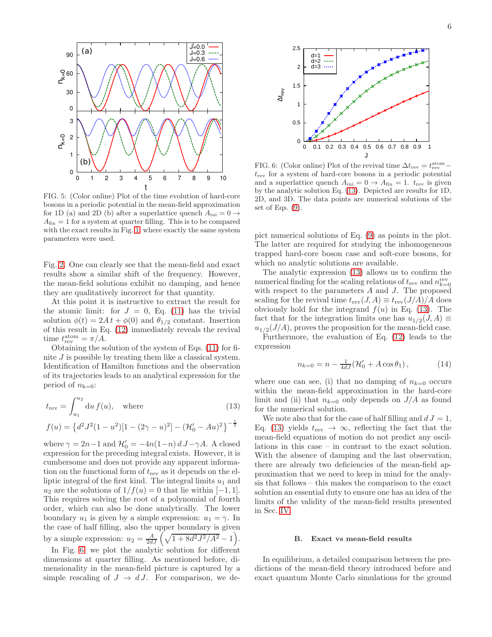

<span id="page-5-1"></span>FIG. 5: (Color online) Plot of the time evolution of hard-core bosons in a periodic potential in the mean-field approximation for 1D (a) and 2D (b) after a superlattice quench  $A_{\text{ini}} = 0 \rightarrow$  $A_{fin} = 1$  for a system at quarter filling. This is to be compared with the exact results in Fig. [1,](#page-2-0) where exactly the same system parameters were used.

Fig. [2.](#page-2-1) One can clearly see that the mean-field and exact results show a similar shift of the frequency. However, the mean-field solutions exhibit no damping, and hence they are qualitatively incorrect for that quantity.

At this point it is instructive to extract the result for the atomic limit: for  $J = 0$ , Eq. [\(11\)](#page-4-3) has the trivial solution  $\phi(t) = 2A t + \phi(0)$  and  $\theta_{1/2}$  constant. Insertion of this result in Eq. [\(12\)](#page-4-4) immediately reveals the revival time  $t_{\text{rev}}^{\text{atom}} = \pi/A$ .

Obtaining the solution of the system of Eqs. [\(11\)](#page-4-3) for finite J is possible by treating them like a classical system. Identification of Hamilton functions and the observation of its trajectories leads to an analytical expression for the period of  $n_{k=0}$ :

$$
t_{\text{rev}} = \int_{u_1}^{u_2} du f(u), \quad \text{where} \quad (13)
$$

$$
f(u) = \left\{ d^2 J^2 (1 - u^2) [1 - (2\gamma - u)^2] - (\mathcal{H}'_0 - Au)^2 \right\}^{-\frac{1}{2}}
$$

where  $\gamma = 2n-1$  and  $\mathcal{H}'_0 = -4n(1-n) d J - \gamma A$ . A closed expression for the preceding integral exists. However, it is cumbersome and does not provide any apparent information on the functional form of  $t_{\text{rev}}$  as it depends on the elliptic integral of the first kind. The integral limits  $u_1$  and  $u_2$  are the solutions of  $1/f(u) = 0$  that lie within [−1, 1]. This requires solving the root of a polynomial of fourth order, which can also be done analytically. The lower boundary  $u_1$  is given by a simple expression:  $u_1 = \gamma$ . In the case of half filling, also the upper boundary is given by a simple expression:  $u_2 = \frac{A}{2dJ} \left( \sqrt{1 + 8d^2J^2/A^2} - 1 \right)$ .

In Fig. [6,](#page-5-2) we plot the analytic solution for different dimensions at quarter filling. As mentioned before, dimensionality in the mean-field picture is captured by a simple rescaling of  $J \to dJ$ . For comparison, we de-



<span id="page-5-2"></span>FIG. 6: (Color online) Plot of the revival time  $\Delta t_{\text{rev}} = t_{\text{rev}}^{\text{atom}}$  $t_{\text{rev}}$  for a system of hard-core bosons in a periodic potential and a superlattice quench  $A_{\text{ini}} = 0 \rightarrow A_{\text{fin}} = 1$ .  $t_{\text{rev}}$  is given by the analytic solution Eq. [\(13\)](#page-5-3). Depicted are results for 1D, 2D, and 3D. The data points are numerical solutions of the set of Eqs.  $(9)$ .

pict numerical solutions of Eq. [\(9\)](#page-4-1) as points in the plot. The latter are required for studying the inhomogeneous trapped hard-core boson case and soft-core bosons, for which no analytic solutions are available.

The analytic expression [\(13\)](#page-5-3) allows us to confirm the numerical finding for the scaling relations of  $t_{\text{rev}}$  and  $n_{k=0}^{\text{rev}}$ with respect to the parameters A and J. The proposed scaling for the revival time  $t_{\text{rev}}(J, A) \equiv t_{\text{rev}}(J/A)/A$  does obviously hold for the integrand  $f(u)$  in Eq. [\(13\)](#page-5-3). The fact that for the integration limits one has  $u_{1/2}(J, A) \equiv$  $u_{1/2}(J/A)$ , proves the proposition for the mean-field case.

Furthermore, the evaluation of Eq. [\(12\)](#page-4-4) leads to the expression

$$
n_{k=0} = n - \frac{1}{4dJ}(\mathcal{H}'_0 + A\cos\theta_1), \qquad (14)
$$

where one can see, (i) that no damping of  $n_{k=0}$  occurs within the mean-field approximation in the hard-core limit and (ii) that  $n_{k=0}$  only depends on  $J/A$  as found for the numerical solution.

<span id="page-5-3"></span>We note also that for the case of half filling and  $d J = 1$ , Eq. [\(13\)](#page-5-3) yields  $t_{rev} \rightarrow \infty$ , reflecting the fact that the mean-field equations of motion do not predict any oscillations in this case – in contrast to the exact solution. With the absence of damping and the last observation, there are already two deficiencies of the mean-field approximation that we need to keep in mind for the analysis that follows – this makes the comparison to the exact solution an essential duty to ensure one has an idea of the limits of the validity of the mean-field results presented in Sec. [IV.](#page-7-0)

### <span id="page-5-0"></span>B. Exact vs mean-field results

In equilibrium, a detailed comparison between the predictions of the mean-field theory introduced before and exact quantum Monte Carlo simulations for the ground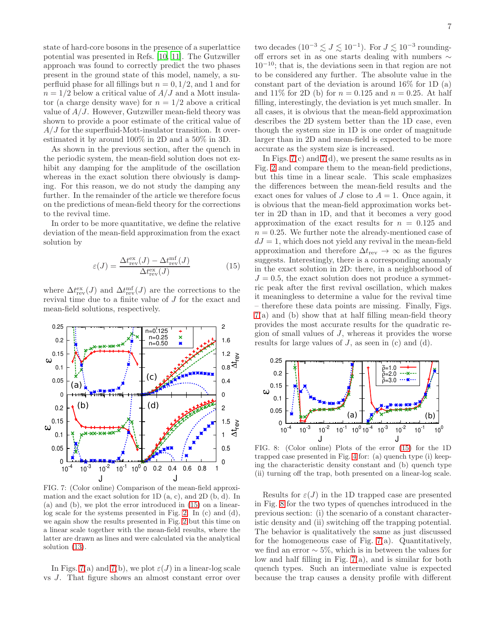state of hard-core bosons in the presence of a superlattice potential was presented in Refs. [\[10,](#page-9-11) [11\]](#page-9-12). The Gutzwiller approach was found to correctly predict the two phases present in the ground state of this model, namely, a superfluid phase for all fillings but  $n = 0, 1/2$ , and 1 and for  $n = 1/2$  below a critical value of  $A/J$  and a Mott insulator (a charge density wave) for  $n = 1/2$  above a critical value of  $A/J$ . However, Gutzwiller mean-field theory was shown to provide a poor estimate of the critical value of  $A/J$  for the superfluid-Mott-insulator transition. It overestimated it by around 100% in 2D and a 50% in 3D.

As shown in the previous section, after the quench in the periodic system, the mean-field solution does not exhibit any damping for the amplitude of the oscillation whereas in the exact solution there obviously is damping. For this reason, we do not study the damping any further. In the remainder of the article we therefore focus on the predictions of mean-field theory for the corrections to the revival time.

In order to be more quantitative, we define the relative deviation of the mean-field approximation from the exact solution by

<span id="page-6-0"></span>
$$
\varepsilon(J) = \frac{\Delta t_{\text{rev}}^{\text{ex}}(J) - \Delta t_{\text{rev}}^{\text{mf}}(J)}{\Delta t_{\text{rev}}^{\text{ex}}(J)}
$$
(15)

where  $\Delta t_{\rm rev}^{\rm ex}(J)$  and  $\Delta t_{\rm rev}^{\rm mf}(J)$  are the corrections to the revival time due to a finite value of J for the exact and mean-field solutions, respectively.



<span id="page-6-1"></span>FIG. 7: (Color online) Comparison of the mean-field approximation and the exact solution for  $1D(a, c)$ , and  $2D(b, d)$ . In (a) and (b), we plot the error introduced in [\(15\)](#page-6-0) on a linearlog scale for the systems presented in Fig. [2.](#page-2-1) In (c) and (d), we again show the results presented in Fig. [2](#page-2-1) but this time on a linear scale together with the mean-field results, where the latter are drawn as lines and were calculated via the analytical solution [\(13\)](#page-5-3).

In Figs. [7\(](#page-6-1)a) and 7(b), we plot  $\varepsilon(J)$  in a linear-log scale vs J. That figure shows an almost constant error over

two decades  $(10^{-3} \lesssim J \lesssim 10^{-1})$ . For  $J \lesssim 10^{-3}$  roundingoff errors set in as one starts dealing with numbers ∼  $10^{-10}$ ; that is, the deviations seen in that region are not to be considered any further. The absolute value in the constant part of the deviation is around 16% for 1D (a) and 11% for 2D (b) for  $n = 0.125$  and  $n = 0.25$ . At half filling, interestingly, the deviation is yet much smaller. In all cases, it is obvious that the mean-field approximation describes the 2D system better than the 1D case, even though the system size in 1D is one order of magnitude larger than in 2D and mean-field is expected to be more accurate as the system size is increased.

In Figs.  $7(c)$  and  $7(d)$ , we present the same results as in Fig. [2](#page-2-1) and compare them to the mean-field predictions, but this time in a linear scale. This scale emphasizes the differences between the mean-field results and the exact ones for values of J close to  $A = 1$ . Once again, it is obvious that the mean-field approximation works better in 2D than in 1D, and that it becomes a very good approximation of the exact results for  $n = 0.125$  and  $n = 0.25$ . We further note the already-mentioned case of  $dJ = 1$ , which does not yield any revival in the mean-field approximation and therefore  $\Delta t_{\text{rev}} \to \infty$  as the figures suggests. Interestingly, there is a corresponding anomaly in the exact solution in 2D: there, in a neighborhood of  $J = 0.5$ , the exact solution does not produce a symmetric peak after the first revival oscillation, which makes it meaningless to determine a value for the revival time – therefore these data points are missing. Finally, Figs. [7\(](#page-6-1)a) and (b) show that at half filling mean-field theory provides the most accurate results for the quadratic region of small values of J, whereas it provides the worse results for large values of  $J$ , as seen in (c) and (d).



<span id="page-6-2"></span>FIG. 8: (Color online) Plots of the error [\(15\)](#page-6-0) for the 1D trapped case presented in Fig. [4](#page-3-1) for: (a) quench type (i) keeping the characteristic density constant and (b) quench type (ii) turning off the trap, both presented on a linear-log scale.

Results for  $\varepsilon(J)$  in the 1D trapped case are presented in Fig. [8](#page-6-2) for the two types of quenches introduced in the previous section: (i) the scenario of a constant characteristic density and (ii) switching off the trapping potential. The behavior is qualitatively the same as just discussed for the homogeneous case of Fig.  $7(a)$ . Quantitatively, we find an error  $\sim 5\%$ , which is in between the values for low and half filling in Fig. [7\(](#page-6-1)a), and is similar for both quench types. Such an intermediate value is expected because the trap causes a density profile with different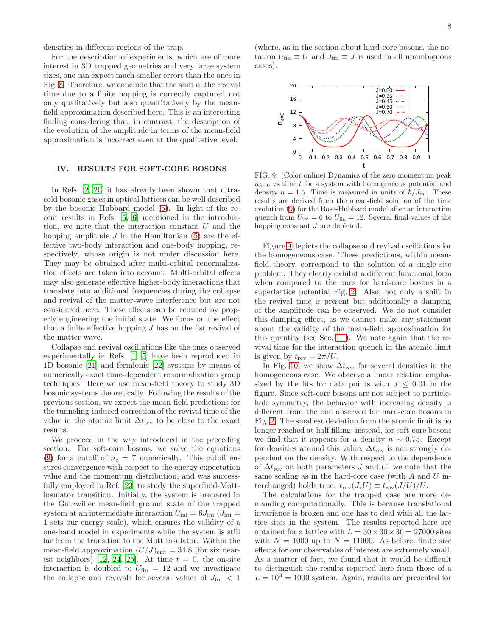densities in different regions of the trap.

For the description of experiments, which are of more interest in 3D trapped geometries and very large system sizes, one can expect much smaller errors than the ones in Fig. [8.](#page-6-2) Therefore, we conclude that the shift of the revival time due to a finite hopping is correctly captured not only qualitatively but also quantitatively by the meanfield approximation described here. This is an interesting finding considering that, in contrast, the description of the evolution of the amplitude in terms of the mean-field approximation is incorrect even at the qualitative level.

# <span id="page-7-0"></span>IV. RESULTS FOR SOFT-CORE BOSONS

In Refs. [\[2](#page-9-1), [20\]](#page-9-19) it has already been shown that ultracold bosonic gases in optical lattices can be well described by the bosonic Hubbard model [\(5\)](#page-4-5). In light of the recent results in Refs. [\[5](#page-9-2), [6\]](#page-9-3) mentioned in the introduction, we note that the interaction constant U and the hopping amplitude  $J$  in the Hamiltonian [\(5\)](#page-4-5) are the effective two-body interaction and one-body hopping, respectively, whose origin is not under discussion here. They may be obtained after multi-orbital renormalization effects are taken into account. Multi-orbital effects may also generate effective higher-body interactions that translate into additional frequencies during the collapse and revival of the matter-wave interference but are not considered here. These effects can be reduced by properly engineering the initial state. We focus on the effect that a finite effective hopping  $J$  has on the fist revival of the matter wave.

Collapse and revival oscillations like the ones observed experimentally in Refs. [\[1](#page-9-0), [5\]](#page-9-2) have been reproduced in 1D bosonic [\[21](#page-9-20)] and fermionic [\[22](#page-9-21)] systems by means of numerically exact time-dependent renormalization group techniques. Here we use mean-field theory to study 3D bosonic systems theoretically. Following the results of the previous section, we expect the mean-field predictions for the tunneling-induced correction of the revival time of the value in the atomic limit  $\Delta t_{\text{rev}}$  to be close to the exact results.

We proceed in the way introduced in the preceding section. For soft-core bosons, we solve the equations [\(9\)](#page-4-1) for a cutoff of  $n_c = 7$  numerically. This cutoff ensures convergence with respect to the energy expectation value and the momentum distribution, and was successfully employed in Ref. [\[23](#page-9-22)] to study the superfluid-Mottinsulator transition. Initially, the system is prepared in the Gutzwiller mean-field ground state of the trapped system at an intermediate interaction  $U_{\text{ini}} = 6 J_{\text{ini}} (J_{\text{ini}} =$ 1 sets our energy scale), which ensures the validity of a one-band model in experiments while the system is still far from the transition to the Mott insulator. Within the mean-field approximation  $(U/J)_{\text{crit}} = 34.8$  (for six near-est neighbors) [\[12](#page-9-13), [24](#page-9-23), [25](#page-9-24)]. At time  $t = 0$ , the on-site interaction is doubled to  $U_{fin} = 12$  and we investigate the collapse and revivals for several values of  $J_{\rm fin} \, < \, 1$ 

(where, as in the section about hard-core bosons, the notation  $U_{\text{fin}} \equiv U$  and  $J_{\text{fin}} \equiv J$  is used in all unambiguous cases).



<span id="page-7-1"></span>FIG. 9: (Color online) Dynamics of the zero momentum peak  $n_{k=0}$  vs time t for a system with homogeneous potential and density  $n = 1.5$ . Time is measured in units of  $\hbar/J_{\text{ini}}$ . These results are derived from the mean-field solution of the time evolution [\(9\)](#page-4-1) for the Bose-Hubbard model after an interaction quench from  $U_{\text{ini}} = 6$  to  $U_{\text{fin}} = 12$ . Several final values of the hopping constant  $J$  are depicted.

Figure [9](#page-7-1) depicts the collapse and revival oscillations for the homogeneous case. These predictions, within meanfield theory, correspond to the solution of a single site problem. They clearly exhibit a different functional form when compared to the ones for hard-core bosons in a superlattice potential Fig. [2.](#page-2-1) Also, not only a shift in the revival time is present but additionally a damping of the amplitude can be observed. We do not consider this damping effect, as we cannot make any statement about the validity of the mean-field approximation for this quantity (see Sec. [III\)](#page-4-0). We note again that the revival time for the interaction quench in the atomic limit is given by  $t_{\text{rev}} = 2\pi/U$ .

In Fig. [10,](#page-8-0) we show  $\Delta t_{\text{rev}}$  for several densities in the homogeneous case. We observe a linear relation emphasized by the fits for data points with  $J \leq 0.01$  in the figure. Since soft-core bosons are not subject to particlehole symmetry, the behavior with increasing density is different from the one observed for hard-core bosons in Fig. [2.](#page-2-1) The smallest deviation from the atomic limit is no longer reached at half filling; instead, for soft-core bosons we find that it appears for a density  $n \sim 0.75$ . Except for densities around this value,  $\Delta t_{\text{rev}}$  is not strongly dependent on the density. With respect to the dependence of  $\Delta t_{\text{rev}}$  on both parameters J and U, we note that the same scaling as in the hard-core case (with  $A$  and  $U$  interchanged) holds true:  $t_{rev}(J, U) \equiv t_{rev}(J/U)/U$ .

The calculations for the trapped case are more demanding computationally. This is because translational invariance is broken and one has to deal with all the lattice sites in the system. The results reported here are obtained for a lattice with  $L = 30 \times 30 \times 30 = 27000$  sites with  $N = 1000$  up to  $N = 11000$ . As before, finite size effects for our observables of interest are extremely small. As a matter of fact, we found that it would be difficult to distinguish the results reported here from those of a  $L = 10<sup>3</sup> = 1000$  system. Again, results are presented for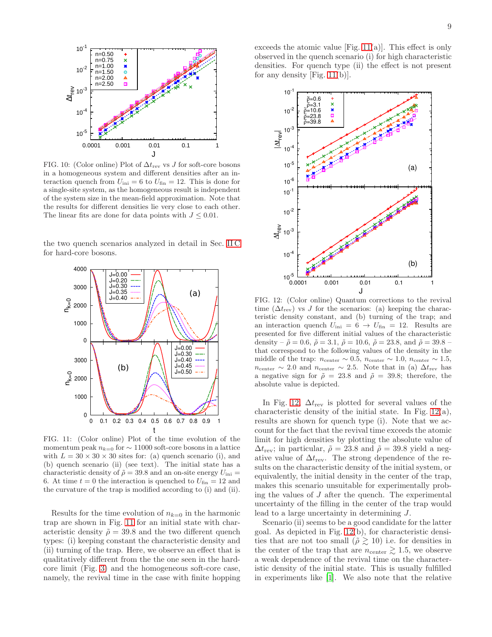

<span id="page-8-0"></span>FIG. 10: (Color online) Plot of  $\Delta t_{\rm rev}$  vs J for soft-core bosons in a homogeneous system and different densities after an interaction quench from  $U_{\text{ini}} = 6$  to  $U_{\text{fin}} = 12$ . This is done for a single-site system, as the homogeneous result is independent of the system size in the mean-field approximation. Note that the results for different densities lie very close to each other. The linear fits are done for data points with  $J \leq 0.01$ .

the two quench scenarios analyzed in detail in Sec. [II C](#page-2-2) for hard-core bosons.



<span id="page-8-1"></span>FIG. 11: (Color online) Plot of the time evolution of the momentum peak  $n_{k=0}$  for  $\sim$  11000 soft-core bosons in a lattice with  $L = 30 \times 30 \times 30$  sites for: (a) quench scenario (i), and (b) quench scenario (ii) (see text). The initial state has a characteristic density of  $\tilde{\rho} = 39.8$  and an on-site energy  $U_{\text{ini}} =$ 6. At time  $t = 0$  the interaction is quenched to  $U_{fin} = 12$  and the curvature of the trap is modified according to (i) and (ii).

Results for the time evolution of  $n_{k=0}$  in the harmonic trap are shown in Fig. [11](#page-8-1) for an initial state with characteristic density  $\tilde{\rho} = 39.8$  and the two different quench types: (i) keeping constant the characteristic density and (ii) turning of the trap. Here, we observe an effect that is qualitatively different from the the one seen in the hardcore limit (Fig. [3\)](#page-3-0) and the homogeneous soft-core case, namely, the revival time in the case with finite hopping exceeds the atomic value  $[Fig. 11(a)].$  $[Fig. 11(a)].$  $[Fig. 11(a)].$  This effect is only observed in the quench scenario (i) for high characteristic densities. For quench type (ii) the effect is not present for any density  $[Fig. 11(b)].$  $[Fig. 11(b)].$  $[Fig. 11(b)].$ 



<span id="page-8-2"></span>FIG. 12: (Color online) Quantum corrections to the revival time  $(\Delta t_{\text{rev}})$  vs J for the scenarios: (a) keeping the characteristic density constant, and (b) turning of the trap; and an interaction quench  $U_{\text{ini}} = 6 \rightarrow U_{\text{fin}} = 12$ . Results are presented for five different initial values of the characteristic density –  $\tilde{\rho} = 0.6$ ,  $\tilde{\rho} = 3.1$ ,  $\tilde{\rho} = 10.6$ ,  $\tilde{\rho} = 23.8$ , and  $\tilde{\rho} = 39.8$  – that correspond to the following values of the density in the middle of the trap:  $n_{\text{center}} \sim 0.5$ ,  $n_{\text{center}} \sim 1.0$ ,  $n_{\text{center}} \sim 1.5$ ,  $n_{\text{center}} \sim 2.0$  and  $n_{\text{center}} \sim 2.5$ . Note that in (a)  $\Delta t_{\text{rev}}$  has a negative sign for  $\tilde{\rho} = 23.8$  and  $\tilde{\rho} = 39.8$ ; therefore, the absolute value is depicted.

In Fig. [12,](#page-8-2)  $\Delta t_{\text{rev}}$  is plotted for several values of the characteristic density of the initial state. In Fig. [12\(](#page-8-2)a), results are shown for quench type (i). Note that we account for the fact that the revival time exceeds the atomic limit for high densities by plotting the absolute value of  $\Delta t_{\rm rev}$ ; in particular,  $\tilde{\rho} = 23.8$  and  $\tilde{\rho} = 39.8$  yield a negative value of  $\Delta t_{\text{rev}}$ . The strong dependence of the results on the characteristic density of the initial system, or equivalently, the initial density in the center of the trap, makes this scenario unsuitable for experimentally probing the values of  $J$  after the quench. The experimental uncertainty of the filling in the center of the trap would lead to a large uncertainty in determining J.

Scenario (ii) seems to be a good candidate for the latter goal. As depicted in Fig. [12\(](#page-8-2)b), for characteristic densities that are not too small  $(\tilde{\rho} \gtrsim 10)$  i.e. for densities in the center of the trap that are  $n_{\text{center}} \gtrsim 1.5$ , we observe a weak dependence of the revival time on the characteristic density of the initial state. This is usually fulfilled in experiments like [\[1\]](#page-9-0). We also note that the relative